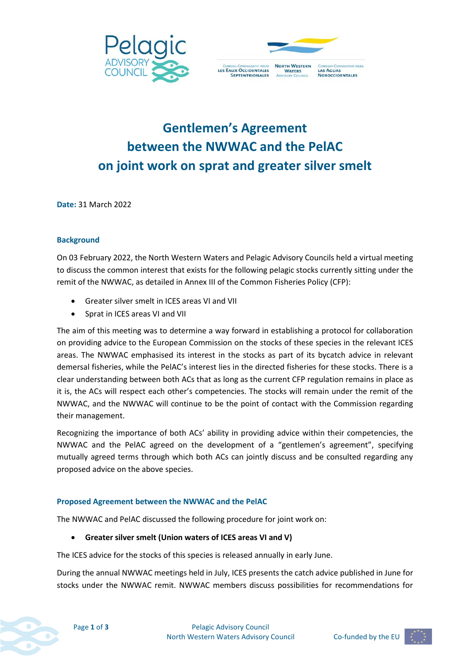



## **Gentlemen's Agreement between the NWWAC and the PelAC on joint work on sprat and greater silver smelt**

**Date:** 31 March 2022

## **Background**

On 03 February 2022, the North Western Waters and Pelagic Advisory Councils held a virtual meeting to discuss the common interest that exists for the following pelagic stocks currently sitting under the remit of the NWWAC, as detailed in Annex III of the Common Fisheries Policy (CFP):

- Greater silver smelt in ICES areas VI and VII
- Sprat in ICES areas VI and VII

The aim of this meeting was to determine a way forward in establishing a protocol for collaboration on providing advice to the European Commission on the stocks of these species in the relevant ICES areas. The NWWAC emphasised its interest in the stocks as part of its bycatch advice in relevant demersal fisheries, while the PelAC's interest lies in the directed fisheries for these stocks. There is a clear understanding between both ACs that as long as the current CFP regulation remains in place as it is, the ACs will respect each other's competencies. The stocks will remain under the remit of the NWWAC, and the NWWAC will continue to be the point of contact with the Commission regarding their management.

Recognizing the importance of both ACs' ability in providing advice within their competencies, the NWWAC and the PelAC agreed on the development of a "gentlemen's agreement", specifying mutually agreed terms through which both ACs can jointly discuss and be consulted regarding any proposed advice on the above species.

## **Proposed Agreement between the NWWAC and the PelAC**

The NWWAC and PelAC discussed the following procedure for joint work on:

• **Greater silver smelt (Union waters of ICES areas VI and V)**

The ICES advice for the stocks of this species is released annually in early June.

During the annual NWWAC meetings held in July, ICES presents the catch advice published in June for stocks under the NWWAC remit. NWWAC members discuss possibilities for recommendations for



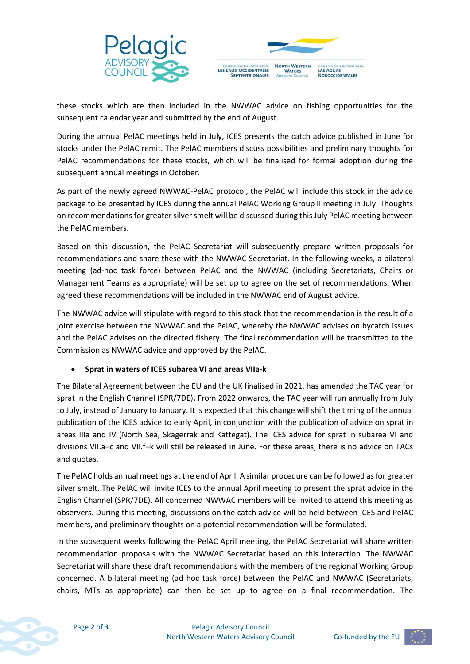



these stocks which are then included in the NWWAC advice on fishing opportunities for the subsequent calendar year and submitted by the end of August.

During the annual PelAC meetings held in July, ICES presents the catch advice published in June for stocks under the PelAC remit. The PelAC members discuss possibilities and preliminary thoughts for PelAC recommendations for these stocks, which will be finalised for formal adoption during the subsequent annual meetings in October.

As part of the newly agreed NWWAC-PelAC protocol, the PelAC will include this stock in the advice package to be presented by ICES during the annual PelAC Working Group II meeting in July. Thoughts on recommendations for greater silver smelt will be discussed during this July PelAC meeting between the PelAC members.

Based on this discussion, the PelAC Secretariat will subsequently prepare written proposals for recommendations and share these with the NWWAC Secretariat. In the following weeks, a bilateral meeting (ad-hoc task force) between PelAC and the NWWAC (including Secretariats, Chairs or Management Teams as appropriate) will be set up to agree on the set of recommendations. When agreed these recommendations will be included in the NWWAC end of August advice.

The NWWAC advice will stipulate with regard to this stock that the recommendation is the result of a joint exercise between the NWWAC and the PelAC, whereby the NWWAC advises on bycatch issues and the PelAC advises on the directed fishery. The final recommendation will be transmitted to the Commission as NWWAC advice and approved by the PelAC.

## • **Sprat in waters of ICES subarea VI and areas VIIa-k**

The Bilateral Agreement between the EU and the UK finalised in 2021, has amended the TAC year for sprat in the English Channel (SPR/7DE)**.** From 2022 onwards, the TAC year will run annually from July to July, instead of January to January. It is expected that this change will shift the timing of the annual publication of the ICES advice to early April, in conjunction with the publication of advice on sprat in areas IIIa and IV (North Sea, Skagerrak and Kattegat). The ICES advice for sprat in subarea VI and divisions VII.a–c and VII.f–k will still be released in June. For these areas, there is no advice on TACs and quotas.

The PelAC holds annual meetings at the end of April. A similar procedure can be followed as for greater silver smelt. The PelAC will invite ICES to the annual April meeting to present the sprat advice in the English Channel (SPR/7DE). All concerned NWWAC members will be invited to attend this meeting as observers. During this meeting, discussions on the catch advice will be held between ICES and PelAC members, and preliminary thoughts on a potential recommendation will be formulated.

In the subsequent weeks following the PelAC April meeting, the PelAC Secretariat will share written recommendation proposals with the NWWAC Secretariat based on this interaction. The NWWAC Secretariat will share these draft recommendations with the members of the regional Working Group concerned. A bilateral meeting (ad hoc task force) between the PelAC and NWWAC (Secretariats, chairs, MTs as appropriate) can then be set up to agree on a final recommendation. The